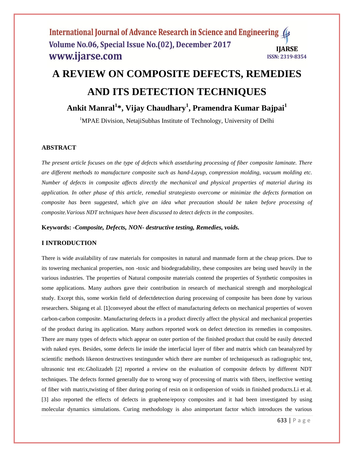# **A REVIEW ON COMPOSITE DEFECTS, REMEDIES AND ITS DETECTION TECHNIQUES**

# **Ankit Manral<sup>1</sup> \*, Vijay Chaudhary<sup>1</sup> , Pramendra Kumar Bajpai<sup>1</sup>**

<sup>1</sup>MPAE Division, NetajiSubhas Institute of Technology, University of Delhi

#### **ABSTRACT**

*The present article focuses on the type of defects which assetduring processing of fiber composite laminate. There are different methods to manufacture composite such as hand-Layup, compression molding, vacuum molding etc. Number of defects in composite affects directly the mechanical and physical properties of material during its application. In other phase of this article, remedial strategiesto overcome or minimize the defects formation on composite has been suggested, which give an idea what precaution should be taken before processing of composite.Various NDT techniques have been discussed to detect defects in the composites.* 

**Keywords:** *-Composite, Defects, NON- destructive testing, Remedies, voids.*

### **I INTRODUCTION**

There is wide availability of raw materials for composites in natural and manmade form at the cheap prices. Due to its towering mechanical properties, non -toxic and biodegradability, these composites are being used heavily in the various industries. The properties of Natural composite materials contend the properties of Synthetic composites in some applications. Many authors gave their contribution in research of mechanical strength and morphological study. Except this, some workin field of defectdetection during processing of composite has been done by various researchers. Shigang et al. [1]conveyed about the effect of manufacturing defects on mechanical properties of woven carbon-carbon composite. Manufacturing defects in a product directly affect the physical and mechanical properties of the product during its application. Many authors reported work on defect detection its remedies in composites. There are many types of defects which appear on outer portion of the finished product that could be easily detected with naked eyes. Besides, some defects lie inside the interfacial layer of fiber and matrix which can beanalyzed by scientific methods likenon destructives testingunder which there are number of techniquesuch as radiographic test, ultrasonic test etc.Gholizadeh [2] reported a review on the evaluation of composite defects by different NDT techniques. The defects formed generally due to wrong way of processing of matrix with fibers, ineffective wetting of fiber with matrix,twisting of fiber during poring of resin on it ordispersion of voids in finished products[.Li](http://pubs.rsc.org/en/results?searchtext=Author%3AMaoyuan%20Li) et al. [3] also reported the effects of defects in graphene/epoxy composites and it had been investigated by using molecular dynamics simulations. Curing methodology is also animportant factor which introduces the various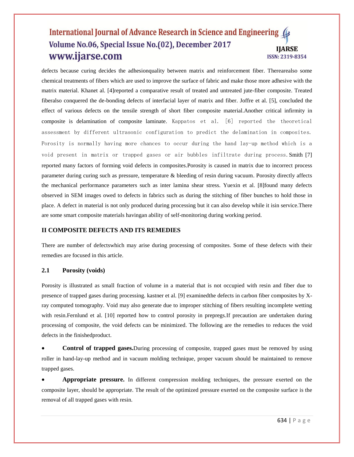defects because curing decides the adhesionquality between matrix and reinforcement fiber. Therearealso some chemical treatments of fibers which are used to improve the surface of fabric and make those more adhesive with the matrix material. Khanet al. [4]reported a comparative result of treated and untreated jute-fiber composite. Treated fiberalso conquered the de-bonding defects of interfacial layer of matrix and fiber. Joffre et al. [5], concluded the effect of various defects on the tensile strength of short fiber composite material.Another critical infirmity in composite is delamination of composite laminate. Kappatos et al. [6] reported the theoretical assessment by different ultrasonic configuration to predict the delamination in composites. Porosity is normally having more chances to occur during the hand lay-up method which is a void present in matrix or trapped gases or air bubbles infiltrate during process.Smith [7] reported many factors of forming void defects in composites.Porosity is caused in matrix due to incorrect process parameter during curing such as pressure, temperature & bleeding of resin during vacuum. Porosity directly affects the mechanical performance parameters such as inter lamina shear stress. Yuexin et al. [8]found many defects observed in SEM images owed to defects in fabrics such as during the stitching of fiber bunches to hold those in place. A defect in material is not only produced during processing but it can also develop while it isin service.There are some smart composite materials havingan ability of self-monitoring during working period.

# **II COMPOSITE DEFECTS AND ITS REMEDIES**

There are number of defectswhich may arise during processing of composites. Some of these defects with their remedies are focused in this article.

# **2.1 Porosity (voids)**

Porosity is illustrated as small fraction of volume in a material that is not occupied with resin and fiber due to presence of trapped gases during processing. kastner et al. [9] examinedthe defects in carbon fiber composites by Xray computed tomography. Void may also generate due to improper stitching of fibers resulting incomplete wetting with resin.Fernlund et al. [10] reported how to control porosity in prepregs.If precaution are undertaken during processing of composite, the void defects can be minimized. The following are the remedies to reduces the void defects in the finishedproduct.

 **Control of trapped gases.**During processing of composite, trapped gases must be removed by using roller in hand-lay-up method and in vacuum molding technique, proper vacuum should be maintained to remove trapped gases.

 **Appropriate pressure.** In different compression molding techniques, the pressure exerted on the composite layer, should be appropriate. The result of the optimized pressure exerted on the composite surface is the removal of all trapped gases with resin.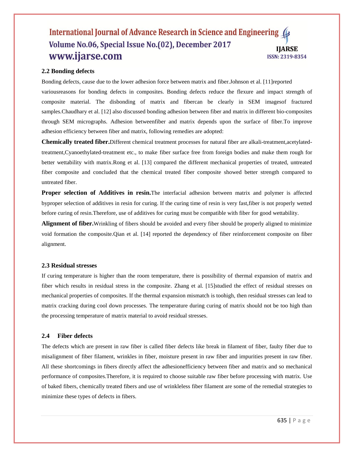#### **2.2 Bonding defects**

Bonding defects, cause due to the lower adhesion force between matrix and fiber.Johnson et al. [11]reported variousreasons for bonding defects in composites. Bonding defects reduce the flexure and impact strength of composite material. The disbonding of matrix and fibercan be clearly in SEM imagesof fractured samples.Chaudhary et al. [12] also discussed bonding adhesion between fiber and matrix in different bio-composites through SEM micrographs. Adhesion betweenfiber and matrix depends upon the surface of fiber.To improve adhesion efficiency between fiber and matrix, following remedies are adopted:

**Chemically treated fiber.**Different chemical treatment processes for natural fiber are alkali-treatment,acetylatedtreatment,Cyanoethylated-treatment etc., to make fiber surface free from foreign bodies and make them rough for better wettability with matrix.Rong et al. [13] compared the different mechanical properties of treated, untreated fiber composite and concluded that the chemical treated fiber composite showed better strength compared to untreated fiber.

**Proper selection of Additives in resin.**The interfacial adhesion between matrix and polymer is affected byproper selection of additives in resin for curing. If the curing time of resin is very fast,fiber is not properly wetted before curing of resin.Therefore, use of additives for curing must be compatible with fiber for good wettability.

**Alignment of fiber.**Wrinkling of fibers should be avoided and every fiber should be properly aligned to minimize void formation the composite.Qian et al. [14] reported the dependency of fiber reinforcement composite on fiber alignment.

#### **2.3 Residual stresses**

If curing temperature is higher than the room temperature, there is possibility of thermal expansion of matrix and fiber which results in residual stress in the composite. Zhang et al. [15]studied the effect of residual stresses on mechanical properties of composites. If the thermal expansion mismatch is toohigh, then residual stresses can lead to matrix cracking during cool down processes. The temperature during curing of matrix should not be too high than the processing temperature of matrix material to avoid residual stresses.

#### **2.4 Fiber defects**

The defects which are present in raw fiber is called fiber defects like break in filament of fiber, faulty fiber due to misalignment of fiber filament, wrinkles in fiber, moisture present in raw fiber and impurities present in raw fiber. All these shortcomings in fibers directly affect the adhesionefficiency between fiber and matrix and so mechanical performance of composites.Therefore, it is required to choose suitable raw fiber before processing with matrix. Use of baked fibers, chemically treated fibers and use of wrinkleless fiber filament are some of the remedial strategies to minimize these types of defects in fibers.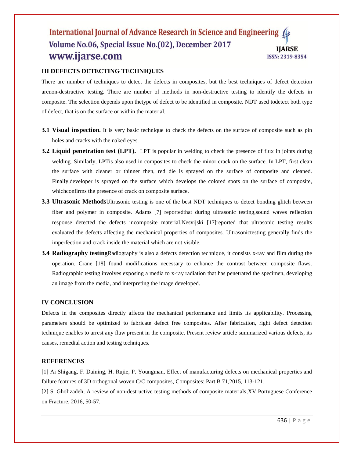# **III DEFECTS DETECTING TECHNIQUES**

There are number of techniques to detect the defects in composites, but the best techniques of defect detection arenon-destructive testing. There are number of methods in non-destructive testing to identify the defects in composite. The selection depends upon thetype of defect to be identified in composite. NDT used todetect both type of defect, that is on the surface or within the material.

- **3.1 Visual inspection.** It is very basic technique to check the defects on the surface of composite such as pin holes and cracks with the naked eyes.
- **3.2 Liquid penetration test (LPT).** LPT is popular in welding to check the presence of flux in joints during welding. Similarly, LPTis also used in composites to check the minor crack on the surface. In LPT, first clean the surface with cleaner or thinner then, red die is sprayed on the surface of composite and cleaned. Finally,developer is sprayed on the surface which develops the colored spots on the surface of composite, whichconfirms the presence of crack on composite surface.
- **3.3 Ultrasonic Methods**Ultrasonic testing is one of the best NDT techniques to detect bonding glitch between fiber and polymer in composite. Adams [7] reportedthat during ultrasonic testing,sound waves reflection response detected the defects incomposite material.Nesvijski [17]reported that ultrasonic testing results evaluated the defects affecting the mechanical properties of composites. Ultrasonictesting generally finds the imperfection and crack inside the material which are not visible.
- **3.4 Radiography testing**Radiography is also a defects detection technique, it consists x-ray and film during the operation. [Crane](http://www.sciencedirect.com/science/article/pii/B978012803581803928X) [18] found modifications necessary to enhance the contrast between composite flaws. Radiographic testing involves exposing a media to x-ray radiation that has penetrated the specimen, developing an image from the media, and interpreting the image developed.

#### **IV CONCLUSION**

Defects in the composites directly affects the mechanical performance and limits its applicability. Processing parameters should be optimized to fabricate defect free composites. After fabrication, right defect detection technique enables to arrest any flaw present in the composite. Present review article summarized various defects, its causes, remedial action and testing techniques.

#### **REFERENCES**

[1] Ai Shigang, F. Daining, H. Rujie, P. Youngman, Effect of manufacturing defects on mechanical properties and failure features of 3D orthogonal woven C/C composites, Composites: Part B 71,2015, 113-121.

[2] S. Gholizadeh, A review of non-destructive testing methods of composite materials,XV Portuguese Conference on Fracture, 2016, 50-57.